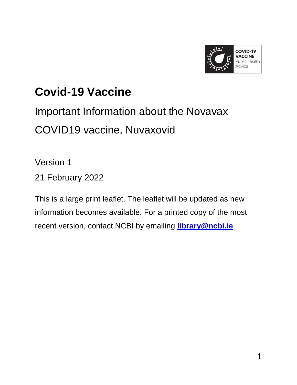

## **Covid-19 Vaccine**

Important Information about the Novavax COVID19 vaccine, Nuvaxovid

Version 1

21 February 2022

This is a large print leaflet. The leaflet will be updated as new information becomes available. For a printed copy of the most recent version, contact NCBI by emailing **[library@ncbi.ie](mailto:library@ncbi.ie)**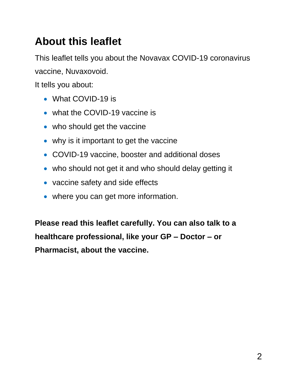## **About this leaflet**

This leaflet tells you about the Novavax COVID-19 coronavirus vaccine, Nuvaxovoid.

It tells you about:

- What COVID-19 is
- what the COVID-19 vaccine is
- who should get the vaccine
- why is it important to get the vaccine
- COVID-19 vaccine, booster and additional doses
- who should not get it and who should delay getting it
- vaccine safety and side effects
- where you can get more information.

**Please read this leaflet carefully. You can also talk to a healthcare professional, like your GP – Doctor – or Pharmacist, about the vaccine.**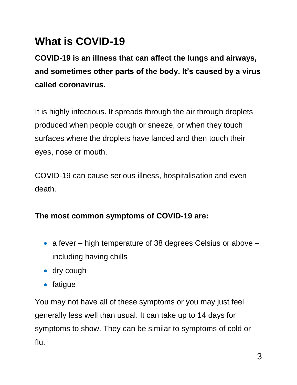## **What is COVID-19**

**COVID-19 is an illness that can affect the lungs and airways, and sometimes other parts of the body. It's caused by a virus called coronavirus.**

It is highly infectious. It spreads through the air through droplets produced when people cough or sneeze, or when they touch surfaces where the droplets have landed and then touch their eyes, nose or mouth.

COVID-19 can cause serious illness, hospitalisation and even death.

#### **The most common symptoms of COVID-19 are:**

- a fever high temperature of 38 degrees Celsius or above including having chills
- dry cough
- fatigue

You may not have all of these symptoms or you may just feel generally less well than usual. It can take up to 14 days for symptoms to show. They can be similar to symptoms of cold or flu.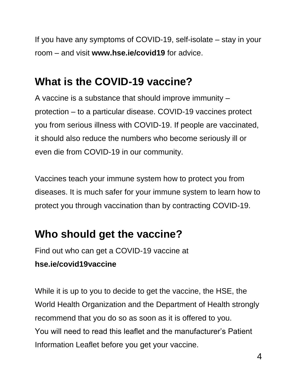If you have any symptoms of COVID-19, self-isolate – stay in your room – and visit **www.hse.ie/covid19** for advice.

## **What is the COVID-19 vaccine?**

A vaccine is a substance that should improve immunity – protection – to a particular disease. COVID-19 vaccines protect you from serious illness with COVID-19. If people are vaccinated, it should also reduce the numbers who become seriously ill or even die from COVID-19 in our community.

Vaccines teach your immune system how to protect you from diseases. It is much safer for your immune system to learn how to protect you through vaccination than by contracting COVID-19.

## **Who should get the vaccine?**

Find out who can get a COVID-19 vaccine at **hse.ie/covid19vaccine**

While it is up to you to decide to get the vaccine, the HSE, the World Health Organization and the Department of Health strongly recommend that you do so as soon as it is offered to you. You will need to read this leaflet and the manufacturer's Patient Information Leaflet before you get your vaccine.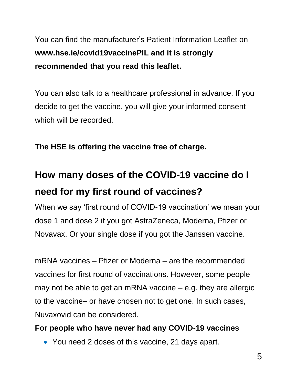You can find the manufacturer's Patient Information Leaflet on **www.hse.ie/covid19vaccinePIL and it is strongly recommended that you read this leaflet.**

You can also talk to a healthcare professional in advance. If you decide to get the vaccine, you will give your informed consent which will be recorded.

**The HSE is offering the vaccine free of charge.** 

## **How many doses of the COVID-19 vaccine do I need for my first round of vaccines?**

When we say 'first round of COVID-19 vaccination' we mean your dose 1 and dose 2 if you got AstraZeneca, Moderna, Pfizer or Novavax. Or your single dose if you got the Janssen vaccine.

mRNA vaccines – Pfizer or Moderna – are the recommended vaccines for first round of vaccinations. However, some people may not be able to get an mRNA vaccine – e.g. they are allergic to the vaccine– or have chosen not to get one. In such cases, Nuvaxovid can be considered.

#### **For people who have never had any COVID-19 vaccines**

• You need 2 doses of this vaccine, 21 days apart.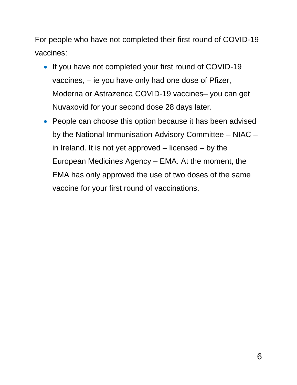For people who have not completed their first round of COVID-19 vaccines:

- If you have not completed your first round of COVID-19 vaccines, – ie you have only had one dose of Pfizer, Moderna or Astrazenca COVID-19 vaccines– you can get Nuvaxovid for your second dose 28 days later.
- People can choose this option because it has been advised by the National Immunisation Advisory Committee – NIAC – in Ireland. It is not yet approved – licensed – by the European Medicines Agency – EMA. At the moment, the EMA has only approved the use of two doses of the same vaccine for your first round of vaccinations.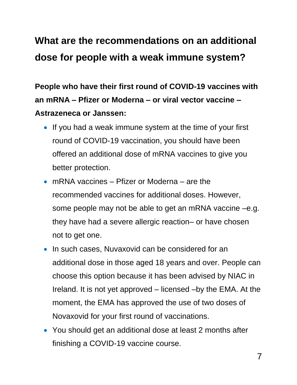## **What are the recommendations on an additional dose for people with a weak immune system?**

**People who have their first round of COVID-19 vaccines with an mRNA – Pfizer or Moderna – or viral vector vaccine – Astrazeneca or Janssen:** 

- If you had a weak immune system at the time of your first round of COVID-19 vaccination, you should have been offered an additional dose of mRNA vaccines to give you better protection.
- mRNA vaccines Pfizer or Moderna are the recommended vaccines for additional doses. However, some people may not be able to get an mRNA vaccine –e.g. they have had a severe allergic reaction– or have chosen not to get one.
- In such cases, Nuvaxovid can be considered for an additional dose in those aged 18 years and over. People can choose this option because it has been advised by NIAC in Ireland. It is not yet approved – licensed –by the EMA. At the moment, the EMA has approved the use of two doses of Novaxovid for your first round of vaccinations.
- You should get an additional dose at least 2 months after finishing a COVID-19 vaccine course.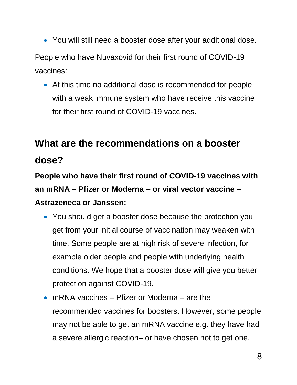- You will still need a booster dose after your additional dose. People who have Nuvaxovid for their first round of COVID-19 vaccines:
	- At this time no additional dose is recommended for people with a weak immune system who have receive this vaccine for their first round of COVID-19 vaccines.

## **What are the recommendations on a booster dose?**

**People who have their first round of COVID-19 vaccines with an mRNA – Pfizer or Moderna – or viral vector vaccine – Astrazeneca or Janssen:** 

- You should get a booster dose because the protection you get from your initial course of vaccination may weaken with time. Some people are at high risk of severe infection, for example older people and people with underlying health conditions. We hope that a booster dose will give you better protection against COVID-19.
- mRNA vaccines Pfizer or Moderna are the recommended vaccines for boosters. However, some people may not be able to get an mRNA vaccine e.g. they have had a severe allergic reaction– or have chosen not to get one.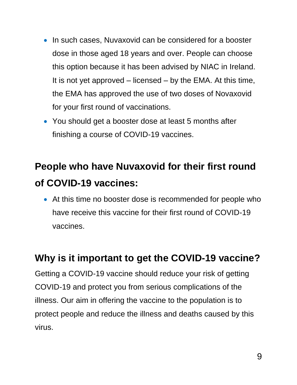- In such cases, Nuvaxovid can be considered for a booster dose in those aged 18 years and over. People can choose this option because it has been advised by NIAC in Ireland. It is not yet approved – licensed – by the EMA. At this time, the EMA has approved the use of two doses of Novaxovid for your first round of vaccinations.
- You should get a booster dose at least 5 months after finishing a course of COVID-19 vaccines.

## **People who have Nuvaxovid for their first round of COVID-19 vaccines:**

 At this time no booster dose is recommended for people who have receive this vaccine for their first round of COVID-19 vaccines.

#### **Why is it important to get the COVID-19 vaccine?**

Getting a COVID-19 vaccine should reduce your risk of getting COVID-19 and protect you from serious complications of the illness. Our aim in offering the vaccine to the population is to protect people and reduce the illness and deaths caused by this virus.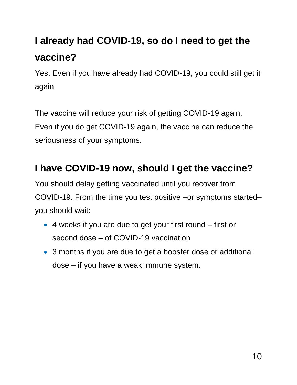## **I already had COVID-19, so do I need to get the vaccine?**

Yes. Even if you have already had COVID-19, you could still get it again.

The vaccine will reduce your risk of getting COVID-19 again. Even if you do get COVID-19 again, the vaccine can reduce the seriousness of your symptoms.

#### **I have COVID-19 now, should I get the vaccine?**

You should delay getting vaccinated until you recover from COVID-19. From the time you test positive –or symptoms started– you should wait:

- 4 weeks if you are due to get your first round first or second dose – of COVID-19 vaccination
- 3 months if you are due to get a booster dose or additional dose – if you have a weak immune system.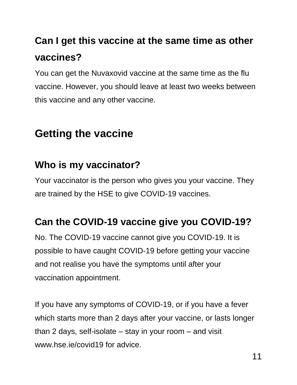## **Can I get this vaccine at the same time as other vaccines?**

You can get the Nuvaxovid vaccine at the same time as the flu vaccine. However, you should leave at least two weeks between this vaccine and any other vaccine.

### **Getting the vaccine**

#### **Who is my vaccinator?**

Your vaccinator is the person who gives you your vaccine. They are trained by the HSE to give COVID-19 vaccines.

### **Can the COVID-19 vaccine give you COVID-19?**

No. The COVID-19 vaccine cannot give you COVID-19. It is possible to have caught COVID-19 before getting your vaccine and not realise you have the symptoms until after your vaccination appointment.

If you have any symptoms of COVID-19, or if you have a fever which starts more than 2 days after your vaccine, or lasts longer than 2 days, self-isolate – stay in your room – and visit www.hse.ie/covid19 for advice.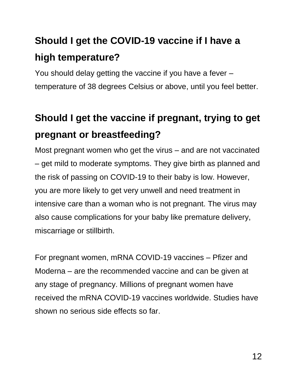# **Should I get the COVID-19 vaccine if I have a high temperature?**

You should delay getting the vaccine if you have a fever – temperature of 38 degrees Celsius or above, until you feel better.

## **Should I get the vaccine if pregnant, trying to get pregnant or breastfeeding?**

Most pregnant women who get the virus – and are not vaccinated – get mild to moderate symptoms. They give birth as planned and the risk of passing on COVID-19 to their baby is low. However, you are more likely to get very unwell and need treatment in intensive care than a woman who is not pregnant. The virus may also cause complications for your baby like premature delivery, miscarriage or stillbirth.

For pregnant women, mRNA COVID-19 vaccines – Pfizer and Moderna – are the recommended vaccine and can be given at any stage of pregnancy. Millions of pregnant women have received the mRNA COVID-19 vaccines worldwide. Studies have shown no serious side effects so far.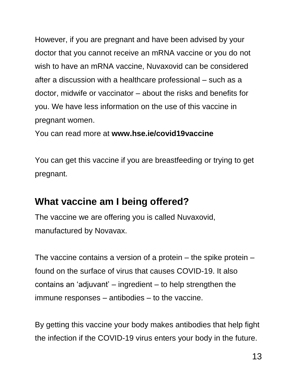However, if you are pregnant and have been advised by your doctor that you cannot receive an mRNA vaccine or you do not wish to have an mRNA vaccine, Nuvaxovid can be considered after a discussion with a healthcare professional – such as a doctor, midwife or vaccinator – about the risks and benefits for you. We have less information on the use of this vaccine in pregnant women.

You can read more at **www.hse.ie/covid19vaccine**

You can get this vaccine if you are breastfeeding or trying to get pregnant.

#### **What vaccine am I being offered?**

The vaccine we are offering you is called Nuvaxovid, manufactured by Novavax.

The vaccine contains a version of a protein – the spike protein – found on the surface of virus that causes COVID-19. It also contains an 'adjuvant' – ingredient – to help strengthen the immune responses – antibodies – to the vaccine.

By getting this vaccine your body makes antibodies that help fight the infection if the COVID-19 virus enters your body in the future.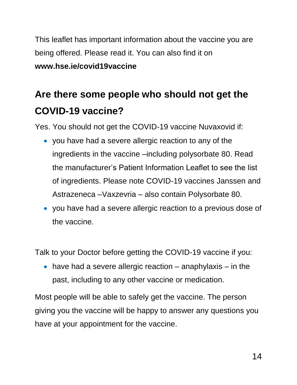This leaflet has important information about the vaccine you are being offered. Please read it. You can also find it on **www.hse.ie/covid19vaccine**

## **Are there some people who should not get the COVID-19 vaccine?**

Yes. You should not get the COVID-19 vaccine Nuvaxovid if:

- you have had a severe allergic reaction to any of the ingredients in the vaccine –including polysorbate 80. Read the manufacturer's Patient Information Leaflet to see the list of ingredients. Please note COVID-19 vaccines Janssen and Astrazeneca –Vaxzevria – also contain Polysorbate 80.
- you have had a severe allergic reaction to a previous dose of the vaccine.

Talk to your Doctor before getting the COVID-19 vaccine if you:

 $\bullet$  have had a severe allergic reaction – anaphylaxis – in the past, including to any other vaccine or medication.

Most people will be able to safely get the vaccine. The person giving you the vaccine will be happy to answer any questions you have at your appointment for the vaccine.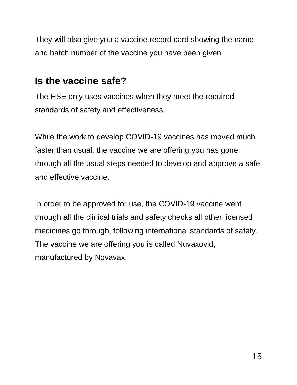They will also give you a vaccine record card showing the name and batch number of the vaccine you have been given.

#### **Is the vaccine safe?**

The HSE only uses vaccines when they meet the required standards of safety and effectiveness.

While the work to develop COVID-19 vaccines has moved much faster than usual, the vaccine we are offering you has gone through all the usual steps needed to develop and approve a safe and effective vaccine.

In order to be approved for use, the COVID-19 vaccine went through all the clinical trials and safety checks all other licensed medicines go through, following international standards of safety. The vaccine we are offering you is called Nuvaxovid, manufactured by Novavax.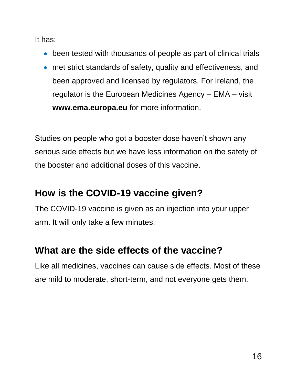It has:

- been tested with thousands of people as part of clinical trials
- met strict standards of safety, quality and effectiveness, and been approved and licensed by regulators. For Ireland, the regulator is the European Medicines Agency – EMA – visit **www.ema.europa.eu** for more information.

Studies on people who got a booster dose haven't shown any serious side effects but we have less information on the safety of the booster and additional doses of this vaccine.

#### **How is the COVID-19 vaccine given?**

The COVID-19 vaccine is given as an injection into your upper arm. It will only take a few minutes.

#### **What are the side effects of the vaccine?**

Like all medicines, vaccines can cause side effects. Most of these are mild to moderate, short-term, and not everyone gets them.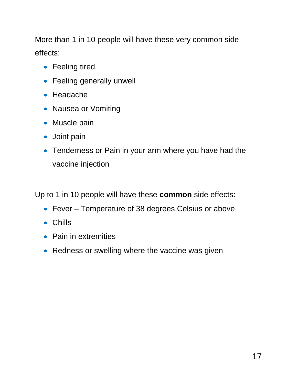More than 1 in 10 people will have these very common side effects:

- Feeling tired
- Feeling generally unwell
- Headache
- Nausea or Vomiting
- Muscle pain
- Joint pain
- Tenderness or Pain in your arm where you have had the vaccine injection

Up to 1 in 10 people will have these **common** side effects:

- Fever Temperature of 38 degrees Celsius or above
- Chills
- Pain in extremities
- Redness or swelling where the vaccine was given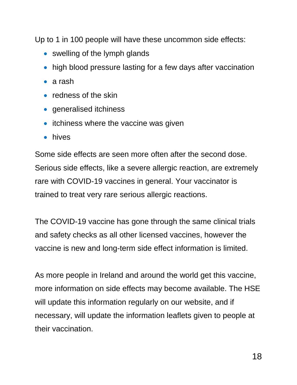Up to 1 in 100 people will have these uncommon side effects:

- swelling of the lymph glands
- high blood pressure lasting for a few days after vaccination
- a rash
- redness of the skin
- generalised itchiness
- itchiness where the vaccine was given
- hives

Some side effects are seen more often after the second dose. Serious side effects, like a severe allergic reaction, are extremely rare with COVID-19 vaccines in general. Your vaccinator is trained to treat very rare serious allergic reactions.

The COVID-19 vaccine has gone through the same clinical trials and safety checks as all other licensed vaccines, however the vaccine is new and long-term side effect information is limited.

As more people in Ireland and around the world get this vaccine, more information on side effects may become available. The HSE will update this information regularly on our website, and if necessary, will update the information leaflets given to people at their vaccination.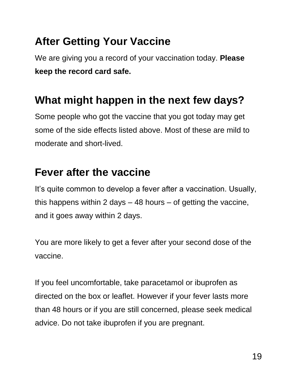## **After Getting Your Vaccine**

We are giving you a record of your vaccination today. **Please keep the record card safe.** 

### **What might happen in the next few days?**

Some people who got the vaccine that you got today may get some of the side effects listed above. Most of these are mild to moderate and short-lived.

### **Fever after the vaccine**

It's quite common to develop a fever after a vaccination. Usually, this happens within 2 days – 48 hours – of getting the vaccine, and it goes away within 2 days.

You are more likely to get a fever after your second dose of the vaccine.

If you feel uncomfortable, take paracetamol or ibuprofen as directed on the box or leaflet. However if your fever lasts more than 48 hours or if you are still concerned, please seek medical advice. Do not take ibuprofen if you are pregnant.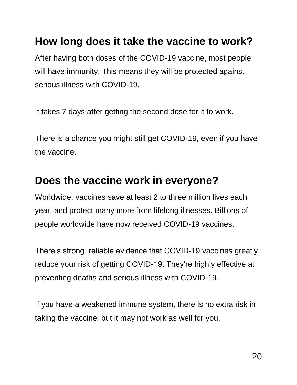### **How long does it take the vaccine to work?**

After having both doses of the COVID-19 vaccine, most people will have immunity. This means they will be protected against serious illness with COVID-19.

It takes 7 days after getting the second dose for it to work.

There is a chance you might still get COVID-19, even if you have the vaccine.

#### **Does the vaccine work in everyone?**

Worldwide, vaccines save at least 2 to three million lives each year, and protect many more from lifelong illnesses. Billions of people worldwide have now received COVID-19 vaccines.

There's strong, reliable evidence that COVID-19 vaccines greatly reduce your risk of getting COVID-19. They're highly effective at preventing deaths and serious illness with COVID-19.

If you have a weakened immune system, there is no extra risk in taking the vaccine, but it may not work as well for you.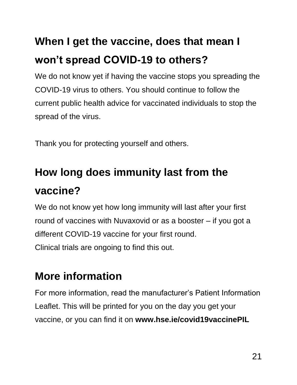# **When I get the vaccine, does that mean I won't spread COVID-19 to others?**

We do not know yet if having the vaccine stops you spreading the COVID-19 virus to others. You should continue to follow the current public health advice for vaccinated individuals to stop the spread of the virus.

Thank you for protecting yourself and others.

# **How long does immunity last from the vaccine?**

We do not know yet how long immunity will last after your first round of vaccines with Nuvaxovid or as a booster – if you got a different COVID-19 vaccine for your first round. Clinical trials are ongoing to find this out.

## **More information**

For more information, read the manufacturer's Patient Information Leaflet. This will be printed for you on the day you get your vaccine, or you can find it on **www.hse.ie/covid19vaccinePIL**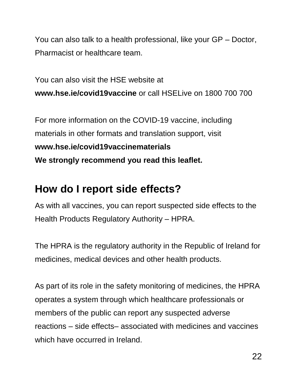You can also talk to a health professional, like your GP – Doctor, Pharmacist or healthcare team.

You can also visit the HSE website at **www.hse.ie/covid19vaccine** or call HSELive on 1800 700 700

For more information on the COVID-19 vaccine, including materials in other formats and translation support, visit **www.hse.ie/covid19vaccinematerials We strongly recommend you read this leaflet.** 

### **How do I report side effects?**

As with all vaccines, you can report suspected side effects to the Health Products Regulatory Authority – HPRA.

The HPRA is the regulatory authority in the Republic of Ireland for medicines, medical devices and other health products.

As part of its role in the safety monitoring of medicines, the HPRA operates a system through which healthcare professionals or members of the public can report any suspected adverse reactions – side effects– associated with medicines and vaccines which have occurred in Ireland.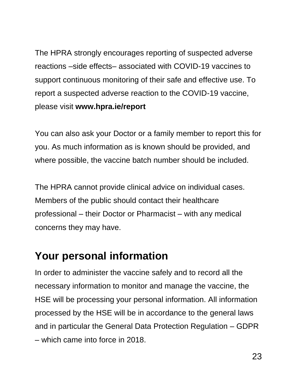The HPRA strongly encourages reporting of suspected adverse reactions –side effects– associated with COVID-19 vaccines to support continuous monitoring of their safe and effective use. To report a suspected adverse reaction to the COVID-19 vaccine, please visit **www.hpra.ie/report**

You can also ask your Doctor or a family member to report this for you. As much information as is known should be provided, and where possible, the vaccine batch number should be included.

The HPRA cannot provide clinical advice on individual cases. Members of the public should contact their healthcare professional – their Doctor or Pharmacist – with any medical concerns they may have.

### **Your personal information**

In order to administer the vaccine safely and to record all the necessary information to monitor and manage the vaccine, the HSE will be processing your personal information. All information processed by the HSE will be in accordance to the general laws and in particular the General Data Protection Regulation – GDPR – which came into force in 2018.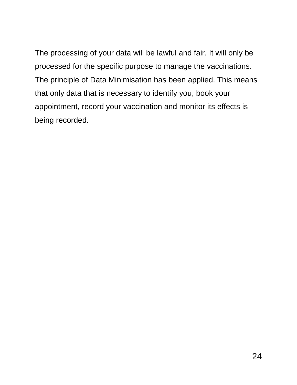The processing of your data will be lawful and fair. It will only be processed for the specific purpose to manage the vaccinations. The principle of Data Minimisation has been applied. This means that only data that is necessary to identify you, book your appointment, record your vaccination and monitor its effects is being recorded.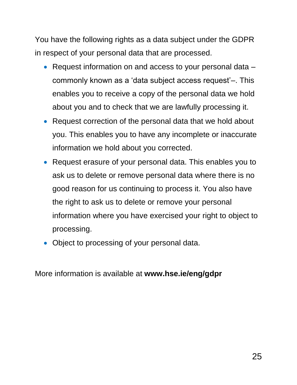You have the following rights as a data subject under the GDPR in respect of your personal data that are processed.

- Request information on and access to your personal data commonly known as a 'data subject access request'–. This enables you to receive a copy of the personal data we hold about you and to check that we are lawfully processing it.
- Request correction of the personal data that we hold about you. This enables you to have any incomplete or inaccurate information we hold about you corrected.
- Request erasure of your personal data. This enables you to ask us to delete or remove personal data where there is no good reason for us continuing to process it. You also have the right to ask us to delete or remove your personal information where you have exercised your right to object to processing.
- Object to processing of your personal data.

More information is available at **www.hse.ie/eng/gdpr**